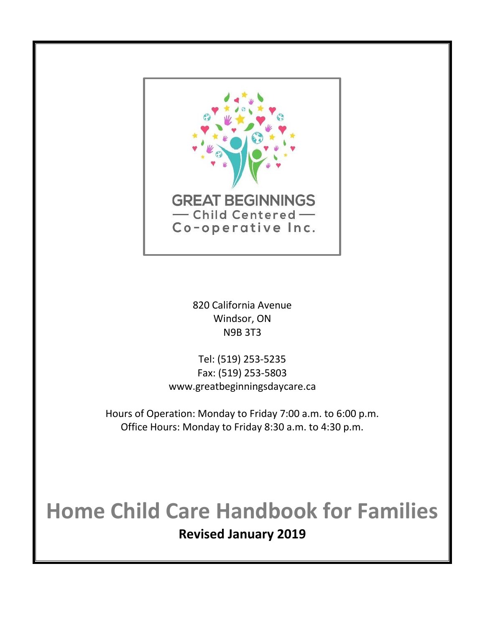

820 California Avenue Windsor, ON N9B 3T3

Tel: (519) 253-5235 Fax: (519) 253-5803 www.greatbeginningsdaycare.ca

Hours of Operation: Monday to Friday 7:00 a.m. to 6:00 p.m. Office Hours: Monday to Friday 8:30 a.m. to 4:30 p.m.

# **Home Child Care Handbook for Families Revised January 2019**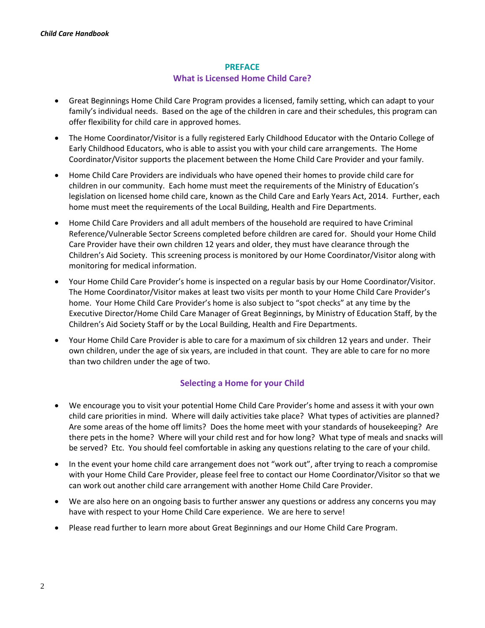# **PREFACE What is Licensed Home Child Care?**

- Great Beginnings Home Child Care Program provides a licensed, family setting, which can adapt to your family's individual needs. Based on the age of the children in care and their schedules, this program can offer flexibility for child care in approved homes.
- The Home Coordinator/Visitor is a fully registered Early Childhood Educator with the Ontario College of Early Childhood Educators, who is able to assist you with your child care arrangements. The Home Coordinator/Visitor supports the placement between the Home Child Care Provider and your family.
- Home Child Care Providers are individuals who have opened their homes to provide child care for children in our community. Each home must meet the requirements of the Ministry of Education's legislation on licensed home child care, known as the Child Care and Early Years Act, 2014. Further, each home must meet the requirements of the Local Building, Health and Fire Departments.
- Home Child Care Providers and all adult members of the household are required to have Criminal Reference/Vulnerable Sector Screens completed before children are cared for. Should your Home Child Care Provider have their own children 12 years and older, they must have clearance through the Children's Aid Society. This screening process is monitored by our Home Coordinator/Visitor along with monitoring for medical information.
- Your Home Child Care Provider's home is inspected on a regular basis by our Home Coordinator/Visitor. The Home Coordinator/Visitor makes at least two visits per month to your Home Child Care Provider's home. Your Home Child Care Provider's home is also subject to "spot checks" at any time by the Executive Director/Home Child Care Manager of Great Beginnings, by Ministry of Education Staff, by the Children's Aid Society Staff or by the Local Building, Health and Fire Departments.
- Your Home Child Care Provider is able to care for a maximum of six children 12 years and under. Their own children, under the age of six years, are included in that count. They are able to care for no more than two children under the age of two.

# **Selecting a Home for your Child**

- We encourage you to visit your potential Home Child Care Provider's home and assess it with your own child care priorities in mind. Where will daily activities take place? What types of activities are planned? Are some areas of the home off limits? Does the home meet with your standards of housekeeping? Are there pets in the home? Where will your child rest and for how long? What type of meals and snacks will be served? Etc. You should feel comfortable in asking any questions relating to the care of your child.
- In the event your home child care arrangement does not "work out", after trying to reach a compromise with your Home Child Care Provider, please feel free to contact our Home Coordinator/Visitor so that we can work out another child care arrangement with another Home Child Care Provider.
- We are also here on an ongoing basis to further answer any questions or address any concerns you may have with respect to your Home Child Care experience. We are here to serve!
- Please read further to learn more about Great Beginnings and our Home Child Care Program.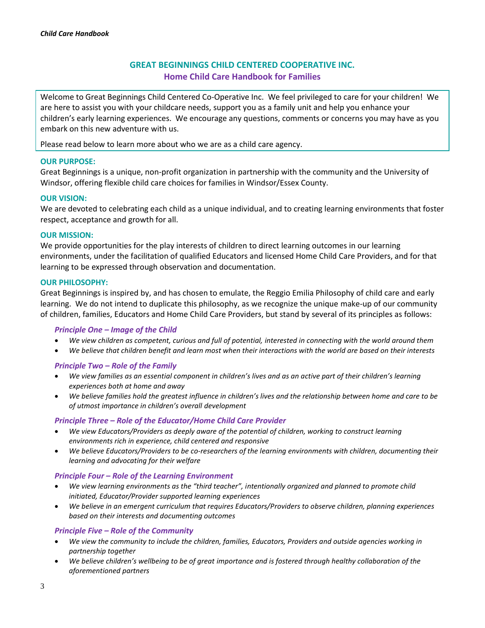# **GREAT BEGINNINGS CHILD CENTERED COOPERATIVE INC. Home Child Care Handbook for Families**

Welcome to Great Beginnings Child Centered Co-Operative Inc. We feel privileged to care for your children! We are here to assist you with your childcare needs, support you as a family unit and help you enhance your children's early learning experiences. We encourage any questions, comments or concerns you may have as you embark on this new adventure with us.

Please read below to learn more about who we are as a child care agency.

# **OUR PURPOSE:**

Great Beginnings is a unique, non-profit organization in partnership with the community and the University of Windsor, offering flexible child care choices for families in Windsor/Essex County.

#### **OUR VISION:**

We are devoted to celebrating each child as a unique individual, and to creating learning environments that foster respect, acceptance and growth for all.

#### **OUR MISSION:**

We provide opportunities for the play interests of children to direct learning outcomes in our learning environments, under the facilitation of qualified Educators and licensed Home Child Care Providers, and for that learning to be expressed through observation and documentation.

#### **OUR PHILOSOPHY:**

Great Beginnings is inspired by, and has chosen to emulate, the Reggio Emilia Philosophy of child care and early learning. We do not intend to duplicate this philosophy, as we recognize the unique make-up of our community of children, families, Educators and Home Child Care Providers, but stand by several of its principles as follows:

#### *Principle One – Image of the Child*

- *We view children as competent, curious and full of potential, interested in connecting with the world around them*
- *We believe that children benefit and learn most when their interactions with the world are based on their interests*

# *Principle Two – Role of the Family*

- *We view families as an essential component in children's lives and as an active part of their children's learning experiences both at home and away*
- *We believe families hold the greatest influence in children's lives and the relationship between home and care to be of utmost importance in children's overall development*

# *Principle Three – Role of the Educator/Home Child Care Provider*

- *We view Educators/Providers as deeply aware of the potential of children, working to construct learning environments rich in experience, child centered and responsive*
- *We believe Educators/Providers to be co-researchers of the learning environments with children, documenting their learning and advocating for their welfare*

# *Principle Four – Role of the Learning Environment*

- *We view learning environments as the "third teacher", intentionally organized and planned to promote child initiated, Educator/Provider supported learning experiences*
- *We believe in an emergent curriculum that requires Educators/Providers to observe children, planning experiences based on their interests and documenting outcomes*

# *Principle Five – Role of the Community*

- *We view the community to include the children, families, Educators, Providers and outside agencies working in partnership together*
- *We believe children's wellbeing to be of great importance and is fostered through healthy collaboration of the aforementioned partners*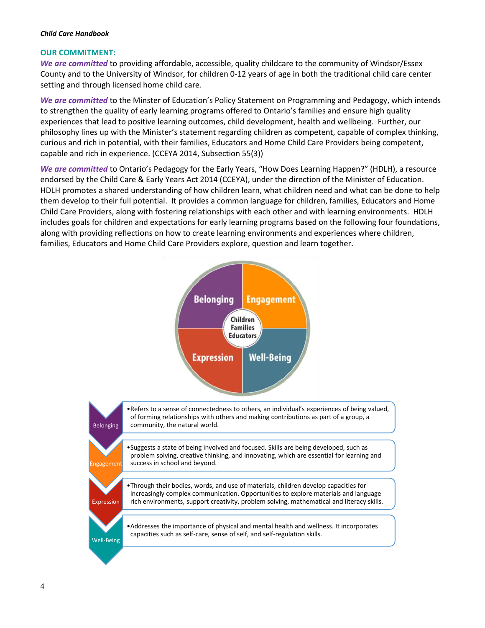#### **OUR COMMITMENT:**

*We are committed* to providing affordable, accessible, quality childcare to the community of Windsor/Essex County and to the University of Windsor, for children 0-12 years of age in both the traditional child care center setting and through licensed home child care.

*We are committed* to the Minster of Education's Policy Statement on Programming and Pedagogy, which intends to strengthen the quality of early learning programs offered to Ontario's families and ensure high quality experiences that lead to positive learning outcomes, child development, health and wellbeing. Further, our philosophy lines up with the Minister's statement regarding children as competent, capable of complex thinking, curious and rich in potential, with their families, Educators and Home Child Care Providers being competent, capable and rich in experience. (CCEYA 2014, Subsection 55(3))

*We are committed* to Ontario's Pedagogy for the Early Years, "How Does Learning Happen?" (HDLH), a resource endorsed by the Child Care & Early Years Act 2014 (CCEYA), under the direction of the Minister of Education. HDLH promotes a shared understanding of how children learn, what children need and what can be done to help them develop to their full potential. It provides a common language for children, families, Educators and Home Child Care Providers, along with fostering relationships with each other and with learning environments. HDLH includes goals for children and expectations for early learning programs based on the following four foundations, along with providing reflections on how to create learning environments and experiences where children, families, Educators and Home Child Care Providers explore, question and learn together.

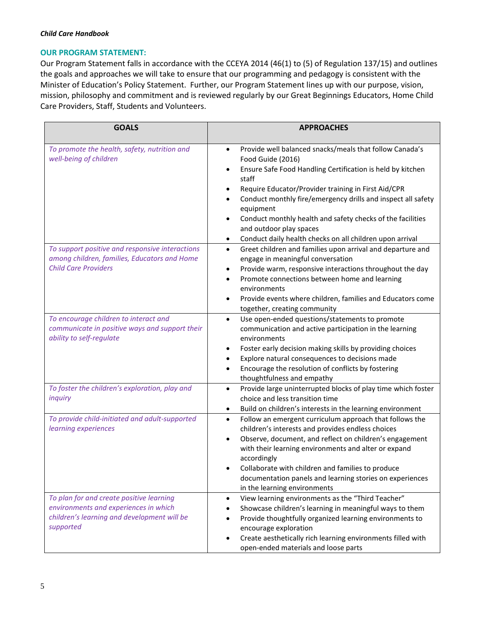#### **OUR PROGRAM STATEMENT:**

Our Program Statement falls in accordance with the CCEYA 2014 (46(1) to (5) of Regulation 137/15) and outlines the goals and approaches we will take to ensure that our programming and pedagogy is consistent with the Minister of Education's Policy Statement. Further, our Program Statement lines up with our purpose, vision, mission, philosophy and commitment and is reviewed regularly by our Great Beginnings Educators, Home Child Care Providers, Staff, Students and Volunteers.

| <b>GOALS</b>                                                                                                                                  | <b>APPROACHES</b>                                                                                                                                                                                                                                                                                                                                                                                                                                                                        |  |
|-----------------------------------------------------------------------------------------------------------------------------------------------|------------------------------------------------------------------------------------------------------------------------------------------------------------------------------------------------------------------------------------------------------------------------------------------------------------------------------------------------------------------------------------------------------------------------------------------------------------------------------------------|--|
| To promote the health, safety, nutrition and<br>well-being of children                                                                        | Provide well balanced snacks/meals that follow Canada's<br>$\bullet$<br>Food Guide (2016)<br>Ensure Safe Food Handling Certification is held by kitchen<br>$\bullet$<br>staff<br>Require Educator/Provider training in First Aid/CPR<br>Conduct monthly fire/emergency drills and inspect all safety<br>$\bullet$<br>equipment<br>Conduct monthly health and safety checks of the facilities<br>and outdoor play spaces<br>Conduct daily health checks on all children upon arrival<br>٠ |  |
| To support positive and responsive interactions<br>among children, families, Educators and Home<br><b>Child Care Providers</b>                | Greet children and families upon arrival and departure and<br>$\bullet$<br>engage in meaningful conversation<br>Provide warm, responsive interactions throughout the day<br>٠<br>Promote connections between home and learning<br>$\bullet$<br>environments<br>Provide events where children, families and Educators come<br>$\bullet$<br>together, creating community                                                                                                                   |  |
| To encourage children to interact and<br>communicate in positive ways and support their<br>ability to self-regulate                           | Use open-ended questions/statements to promote<br>$\bullet$<br>communication and active participation in the learning<br>environments<br>Foster early decision making skills by providing choices<br>٠<br>Explore natural consequences to decisions made<br>Encourage the resolution of conflicts by fostering<br>$\bullet$<br>thoughtfulness and empathy                                                                                                                                |  |
| To foster the children's exploration, play and<br>inquiry                                                                                     | Provide large uninterrupted blocks of play time which foster<br>$\bullet$<br>choice and less transition time<br>Build on children's interests in the learning environment                                                                                                                                                                                                                                                                                                                |  |
| To provide child-initiated and adult-supported<br>learning experiences                                                                        | Follow an emergent curriculum approach that follows the<br>$\bullet$<br>children's interests and provides endless choices<br>Observe, document, and reflect on children's engagement<br>$\bullet$<br>with their learning environments and alter or expand<br>accordingly<br>Collaborate with children and families to produce<br>documentation panels and learning stories on experiences<br>in the learning environments                                                                |  |
| To plan for and create positive learning<br>environments and experiences in which<br>children's learning and development will be<br>supported | View learning environments as the "Third Teacher"<br>$\bullet$<br>Showcase children's learning in meaningful ways to them<br>Provide thoughtfully organized learning environments to<br>encourage exploration<br>Create aesthetically rich learning environments filled with<br>$\bullet$<br>open-ended materials and loose parts                                                                                                                                                        |  |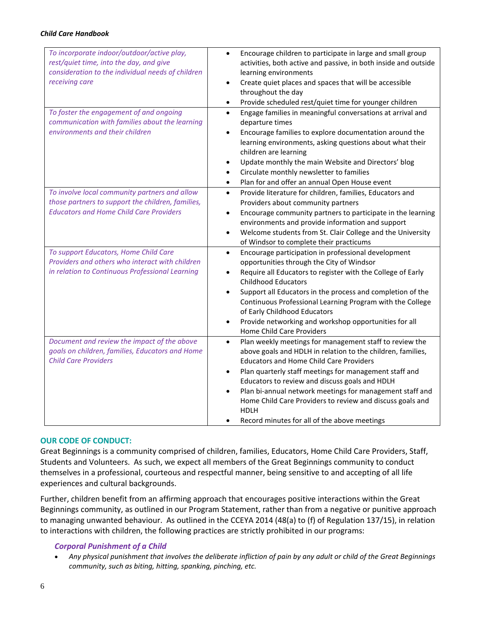| To incorporate indoor/outdoor/active play,<br>rest/quiet time, into the day, and give<br>consideration to the individual needs of children<br>receiving care | Encourage children to participate in large and small group<br>$\bullet$<br>activities, both active and passive, in both inside and outside<br>learning environments<br>Create quiet places and spaces that will be accessible<br>throughout the day<br>Provide scheduled rest/quiet time for younger children<br>$\bullet$                                                                                                                                                                |
|--------------------------------------------------------------------------------------------------------------------------------------------------------------|-------------------------------------------------------------------------------------------------------------------------------------------------------------------------------------------------------------------------------------------------------------------------------------------------------------------------------------------------------------------------------------------------------------------------------------------------------------------------------------------|
| To foster the engagement of and ongoing<br>communication with families about the learning<br>environments and their children                                 | Engage families in meaningful conversations at arrival and<br>$\bullet$<br>departure times<br>Encourage families to explore documentation around the<br>learning environments, asking questions about what their<br>children are learning<br>Update monthly the main Website and Directors' blog<br>Circulate monthly newsletter to families<br>Plan for and offer an annual Open House event<br>$\bullet$                                                                                |
| To involve local community partners and allow<br>those partners to support the children, families,<br><b>Educators and Home Child Care Providers</b>         | Provide literature for children, families, Educators and<br>$\bullet$<br>Providers about community partners<br>Encourage community partners to participate in the learning<br>environments and provide information and support<br>Welcome students from St. Clair College and the University<br>of Windsor to complete their practicums                                                                                                                                                   |
| To support Educators, Home Child Care<br>Providers and others who interact with children<br>in relation to Continuous Professional Learning                  | Encourage participation in professional development<br>$\bullet$<br>opportunities through the City of Windsor<br>Require all Educators to register with the College of Early<br><b>Childhood Educators</b><br>Support all Educators in the process and completion of the<br>$\bullet$<br>Continuous Professional Learning Program with the College<br>of Early Childhood Educators<br>Provide networking and workshop opportunities for all<br><b>Home Child Care Providers</b>           |
| Document and review the impact of the above<br>goals on children, families, Educators and Home<br><b>Child Care Providers</b>                                | Plan weekly meetings for management staff to review the<br>$\bullet$<br>above goals and HDLH in relation to the children, families,<br><b>Educators and Home Child Care Providers</b><br>Plan quarterly staff meetings for management staff and<br>Educators to review and discuss goals and HDLH<br>Plan bi-annual network meetings for management staff and<br>Home Child Care Providers to review and discuss goals and<br><b>HDLH</b><br>Record minutes for all of the above meetings |

#### **OUR CODE OF CONDUCT:**

Great Beginnings is a community comprised of children, families, Educators, Home Child Care Providers, Staff, Students and Volunteers. As such, we expect all members of the Great Beginnings community to conduct themselves in a professional, courteous and respectful manner, being sensitive to and accepting of all life experiences and cultural backgrounds.

Further, children benefit from an affirming approach that encourages positive interactions within the Great Beginnings community, as outlined in our Program Statement, rather than from a negative or punitive approach to managing unwanted behaviour. As outlined in the CCEYA 2014 (48(a) to (f) of Regulation 137/15), in relation to interactions with children, the following practices are strictly prohibited in our programs:

# *Corporal Punishment of a Child*

• *Any physical punishment that involves the deliberate infliction of pain by any adult or child of the Great Beginnings community, such as biting, hitting, spanking, pinching, etc.*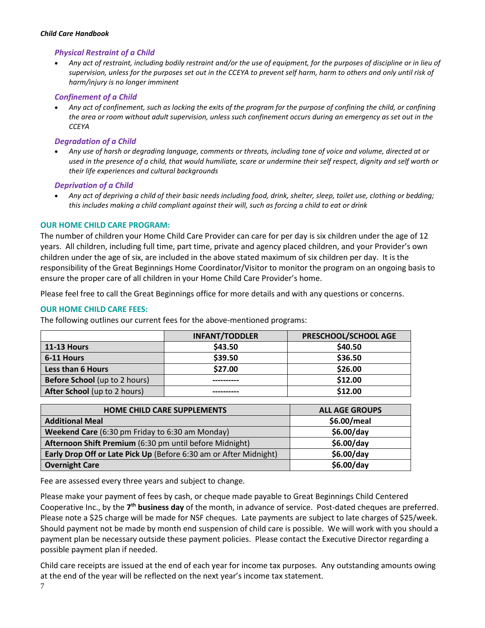#### *Physical Restraint of a Child*

• *Any act of restraint, including bodily restraint and/or the use of equipment, for the purposes of discipline or in lieu of supervision, unless for the purposes set out in the CCEYA to prevent self harm, harm to others and only until risk of harm/injury is no longer imminent* 

#### *Confinement of a Child*

• *Any act of confinement, such as locking the exits of the program for the purpose of confining the child, or confining the area or room without adult supervision, unless such confinement occurs during an emergency as set out in the CCEYA*

#### *Degradation of a Child*

• *Any use of harsh or degrading language, comments or threats, including tone of voice and volume, directed at or used in the presence of a child, that would humiliate, scare or undermine their self respect, dignity and self worth or their life experiences and cultural backgrounds*

#### *Deprivation of a Child*

• *Any act of depriving a child of their basic needs including food, drink, shelter, sleep, toilet use, clothing or bedding; this includes making a child compliant against their will, such as forcing a child to eat or drink* 

# **OUR HOME CHILD CARE PROGRAM:**

The number of children your Home Child Care Provider can care for per day is six children under the age of 12 years. All children, including full time, part time, private and agency placed children, and your Provider's own children under the age of six, are included in the above stated maximum of six children per day. It is the responsibility of the Great Beginnings Home Coordinator/Visitor to monitor the program on an ongoing basis to ensure the proper care of all children in your Home Child Care Provider's home.

Please feel free to call the Great Beginnings office for more details and with any questions or concerns.

# **OUR HOME CHILD CARE FEES:**

The following outlines our current fees for the above-mentioned programs:

|                                     | <b>INFANT/TODDLER</b> | PRESCHOOL/SCHOOL AGE |
|-------------------------------------|-----------------------|----------------------|
| 11-13 Hours                         | \$43.50               | \$40.50              |
| 6-11 Hours                          | \$39.50               | \$36.50              |
| <b>Less than 6 Hours</b>            | \$27.00               | \$26.00              |
| Before School (up to 2 hours)       |                       | \$12.00              |
| <b>After School</b> (up to 2 hours) |                       | \$12.00              |

| <b>HOME CHILD CARE SUPPLEMENTS</b>                                | <b>ALL AGE GROUPS</b> |
|-------------------------------------------------------------------|-----------------------|
| <b>Additional Meal</b>                                            | \$6.00/meal           |
| Weekend Care (6:30 pm Friday to 6:30 am Monday)                   | \$6.00/day            |
| Afternoon Shift Premium (6:30 pm until before Midnight)           | \$6.00/day            |
| Early Drop Off or Late Pick Up (Before 6:30 am or After Midnight) | \$6.00/day            |
| <b>Overnight Care</b>                                             | \$6.00/day            |
|                                                                   |                       |

Fee are assessed every three years and subject to change.

Please make your payment of fees by cash, or cheque made payable to Great Beginnings Child Centered Cooperative Inc., by the 7<sup>th</sup> business day of the month, in advance of service. Post-dated cheques are preferred. Please note a \$25 charge will be made for NSF cheques. Late payments are subject to late charges of \$25/week. Should payment not be made by month end suspension of child care is possible. We will work with you should a payment plan be necessary outside these payment policies. Please contact the Executive Director regarding a possible payment plan if needed.

Child care receipts are issued at the end of each year for income tax purposes. Any outstanding amounts owing at the end of the year will be reflected on the next year's income tax statement.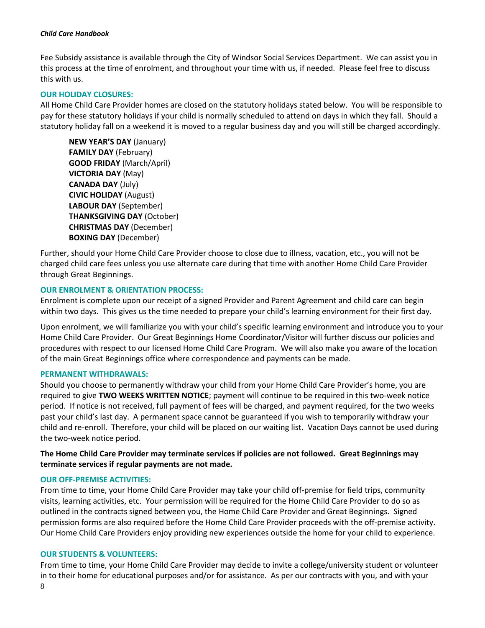Fee Subsidy assistance is available through the City of Windsor Social Services Department. We can assist you in this process at the time of enrolment, and throughout your time with us, if needed. Please feel free to discuss this with us.

#### **OUR HOLIDAY CLOSURES:**

All Home Child Care Provider homes are closed on the statutory holidays stated below. You will be responsible to pay for these statutory holidays if your child is normally scheduled to attend on days in which they fall. Should a statutory holiday fall on a weekend it is moved to a regular business day and you will still be charged accordingly.

**NEW YEAR'S DAY** (January) **FAMILY DAY** (February) **GOOD FRIDAY** (March/April) **VICTORIA DAY** (May) **CANADA DAY** (July) **CIVIC HOLIDAY** (August) **LABOUR DAY** (September) **THANKSGIVING DAY** (October) **CHRISTMAS DAY** (December) **BOXING DAY** (December)

Further, should your Home Child Care Provider choose to close due to illness, vacation, etc., you will not be charged child care fees unless you use alternate care during that time with another Home Child Care Provider through Great Beginnings.

#### **OUR ENROLMENT & ORIENTATION PROCESS:**

Enrolment is complete upon our receipt of a signed Provider and Parent Agreement and child care can begin within two days. This gives us the time needed to prepare your child's learning environment for their first day.

Upon enrolment, we will familiarize you with your child's specific learning environment and introduce you to your Home Child Care Provider. Our Great Beginnings Home Coordinator/Visitor will further discuss our policies and procedures with respect to our licensed Home Child Care Program. We will also make you aware of the location of the main Great Beginnings office where correspondence and payments can be made.

#### **PERMANENT WITHDRAWALS:**

Should you choose to permanently withdraw your child from your Home Child Care Provider's home, you are required to give **TWO WEEKS WRITTEN NOTICE**; payment will continue to be required in this two-week notice period. If notice is not received, full payment of fees will be charged, and payment required, for the two weeks past your child's last day. A permanent space cannot be guaranteed if you wish to temporarily withdraw your child and re-enroll. Therefore, your child will be placed on our waiting list. Vacation Days cannot be used during the two-week notice period.

# **The Home Child Care Provider may terminate services if policies are not followed. Great Beginnings may terminate services if regular payments are not made.**

#### **OUR OFF-PREMISE ACTIVITIES:**

From time to time, your Home Child Care Provider may take your child off-premise for field trips, community visits, learning activities, etc. Your permission will be required for the Home Child Care Provider to do so as outlined in the contracts signed between you, the Home Child Care Provider and Great Beginnings. Signed permission forms are also required before the Home Child Care Provider proceeds with the off-premise activity. Our Home Child Care Providers enjoy providing new experiences outside the home for your child to experience.

#### **OUR STUDENTS & VOLUNTEERS:**

8 From time to time, your Home Child Care Provider may decide to invite a college/university student or volunteer in to their home for educational purposes and/or for assistance. As per our contracts with you, and with your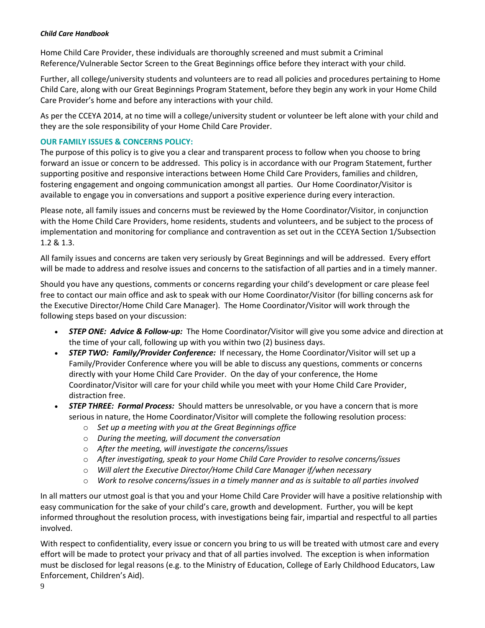Home Child Care Provider, these individuals are thoroughly screened and must submit a Criminal Reference/Vulnerable Sector Screen to the Great Beginnings office before they interact with your child.

Further, all college/university students and volunteers are to read all policies and procedures pertaining to Home Child Care, along with our Great Beginnings Program Statement, before they begin any work in your Home Child Care Provider's home and before any interactions with your child.

As per the CCEYA 2014, at no time will a college/university student or volunteer be left alone with your child and they are the sole responsibility of your Home Child Care Provider.

# **OUR FAMILY ISSUES & CONCERNS POLICY:**

The purpose of this policy is to give you a clear and transparent process to follow when you choose to bring forward an issue or concern to be addressed. This policy is in accordance with our Program Statement, further supporting positive and responsive interactions between Home Child Care Providers, families and children, fostering engagement and ongoing communication amongst all parties. Our Home Coordinator/Visitor is available to engage you in conversations and support a positive experience during every interaction.

Please note, all family issues and concerns must be reviewed by the Home Coordinator/Visitor, in conjunction with the Home Child Care Providers, home residents, students and volunteers, and be subject to the process of implementation and monitoring for compliance and contravention as set out in the CCEYA Section 1/Subsection 1.2 & 1.3.

All family issues and concerns are taken very seriously by Great Beginnings and will be addressed. Every effort will be made to address and resolve issues and concerns to the satisfaction of all parties and in a timely manner.

Should you have any questions, comments or concerns regarding your child's development or care please feel free to contact our main office and ask to speak with our Home Coordinator/Visitor (for billing concerns ask for the Executive Director/Home Child Care Manager). The Home Coordinator/Visitor will work through the following steps based on your discussion:

- *STEP ONE: Advice & Follow-up:* The Home Coordinator/Visitor will give you some advice and direction at the time of your call, following up with you within two (2) business days.
- *STEP TWO: Family/Provider Conference:* If necessary, the Home Coordinator/Visitor will set up a Family/Provider Conference where you will be able to discuss any questions, comments or concerns directly with your Home Child Care Provider. On the day of your conference, the Home Coordinator/Visitor will care for your child while you meet with your Home Child Care Provider, distraction free.
- *STEP THREE: Formal Process:* Should matters be unresolvable, or you have a concern that is more serious in nature, the Home Coordinator/Visitor will complete the following resolution process:
	- o *Set up a meeting with you at the Great Beginnings office*
	- o *During the meeting, will document the conversation*
	- o *After the meeting, will investigate the concerns/issues*
	- o *After investigating, speak to your Home Child Care Provider to resolve concerns/issues*
	- o *Will alert the Executive Director/Home Child Care Manager if/when necessary*
	- o *Work to resolve concerns/issues in a timely manner and as is suitable to all parties involved*

In all matters our utmost goal is that you and your Home Child Care Provider will have a positive relationship with easy communication for the sake of your child's care, growth and development. Further, you will be kept informed throughout the resolution process, with investigations being fair, impartial and respectful to all parties involved.

With respect to confidentiality, every issue or concern you bring to us will be treated with utmost care and every effort will be made to protect your privacy and that of all parties involved. The exception is when information must be disclosed for legal reasons (e.g. to the Ministry of Education, College of Early Childhood Educators, Law Enforcement, Children's Aid).